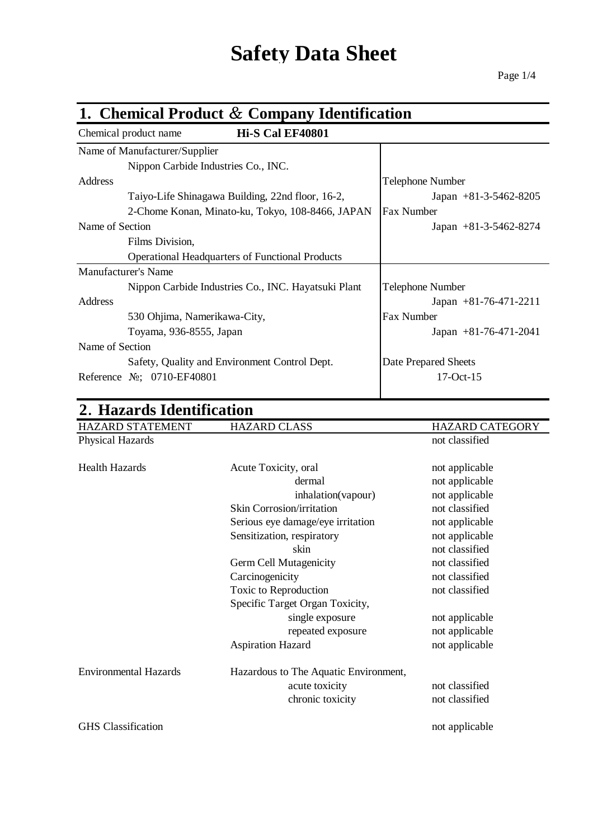# **Safety Data Sheet**

### **1. Chemical Product** & **Company Identification** Chemical product name **Hi-S Cal EF40801** Name of Manufacturer/Supplier Nippon Carbide Industries Co., INC. Address Telephone Number Taiyo-Life Shinagawa Building, 22nd floor, 16-2, Japan +81-3-5462-8205 2-Chome Konan, Minato-ku, Tokyo, 108-8466, JAPAN Fax Number Name of Section Japan +81-3-5462-8274 Films Division, Operational Headquarters of Functional Products Manufacturer's Name Nippon Carbide Industries Co., INC. Hayatsuki Plant | Telephone Number Address Japan +81-76-471-2211 530 Ohjima, Namerikawa-City, Fax Number Toyama, 936-8555, Japan Japan Japan +81-76-471-2041 Name of Section Safety, Quality and Environment Control Dept. Date Prepared Sheets Reference №; 0710-EF40801 17-Oct-15

| 2. Hazards Identification    |                                       |                        |  |
|------------------------------|---------------------------------------|------------------------|--|
| HAZARD STATEMENT             | <b>HAZARD CLASS</b>                   | <b>HAZARD CATEGORY</b> |  |
| <b>Physical Hazards</b>      |                                       | not classified         |  |
| <b>Health Hazards</b>        | Acute Toxicity, oral                  | not applicable         |  |
|                              | dermal                                | not applicable         |  |
|                              | inhalation(vapour)                    | not applicable         |  |
|                              | <b>Skin Corrosion/irritation</b>      | not classified         |  |
|                              | Serious eye damage/eye irritation     | not applicable         |  |
|                              | Sensitization, respiratory            | not applicable         |  |
|                              | skin                                  | not classified         |  |
|                              | Germ Cell Mutagenicity                | not classified         |  |
|                              | Carcinogenicity                       | not classified         |  |
|                              | Toxic to Reproduction                 | not classified         |  |
|                              | Specific Target Organ Toxicity,       |                        |  |
|                              | single exposure                       | not applicable         |  |
|                              | repeated exposure                     | not applicable         |  |
|                              | <b>Aspiration Hazard</b>              | not applicable         |  |
| <b>Environmental Hazards</b> | Hazardous to The Aquatic Environment, |                        |  |
|                              | acute toxicity                        | not classified         |  |
|                              | chronic toxicity                      | not classified         |  |
| <b>GHS</b> Classification    |                                       | not applicable         |  |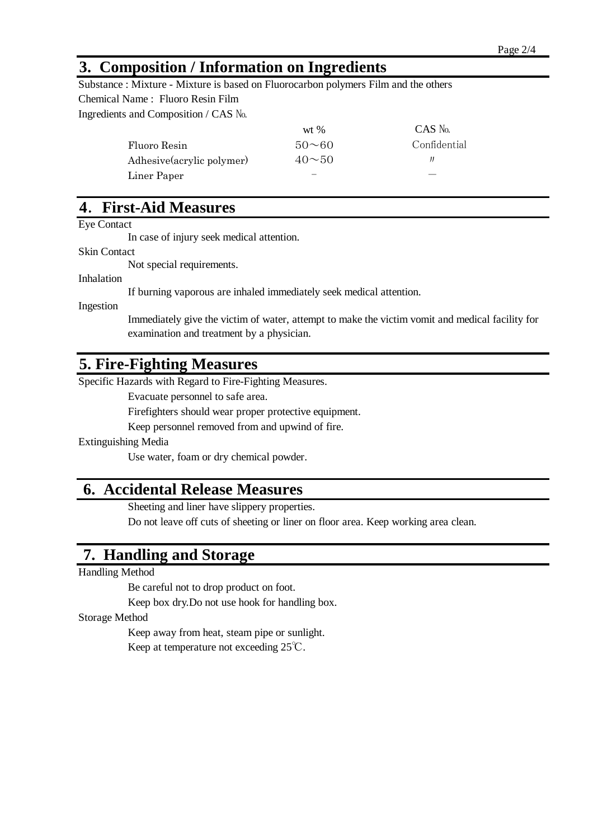## **3. Composition / Information on Ingredients**

Substance : Mixture - Mixture is based on Fluorocarbon polymers Film and the others Chemical Name : Fluoro Resin Film Ingredients and Composition / CAS №

|                           | $wt$ %             | $CAS$ No.    |
|---------------------------|--------------------|--------------|
| Fluoro Resin              | $50\sim\!60$       | Confidential |
| Adhesive(acrylic polymer) | $40\n\nthicksim50$ |              |
| Liner Paper               |                    |              |

# **4**. **First-Aid Measures**

Eye Contact

In case of injury seek medical attention.

Skin Contact

Not special requirements.

Inhalation

If burning vaporous are inhaled immediately seek medical attention.

Ingestion

examination and treatment by a physician. Immediately give the victim of water, attempt to make the victim vomit and medical facility for

## **5. Fire-Fighting Measures**

Specific Hazards with Regard to Fire-Fighting Measures.

Evacuate personnel to safe area.

Firefighters should wear proper protective equipment.

Keep personnel removed from and upwind of fire.

#### Extinguishing Media

Use water, foam or dry chemical powder.

## **6. Accidental Release Measures**

Sheeting and liner have slippery properties.

Do not leave off cuts of sheeting or liner on floor area. Keep working area clean.

# **7. Handling and Storage**

Handling Method

Be careful not to drop product on foot.

Keep box dry.Do not use hook for handling box.

Storage Method

Keep away from heat, steam pipe or sunlight. Keep at temperature not exceeding 25℃.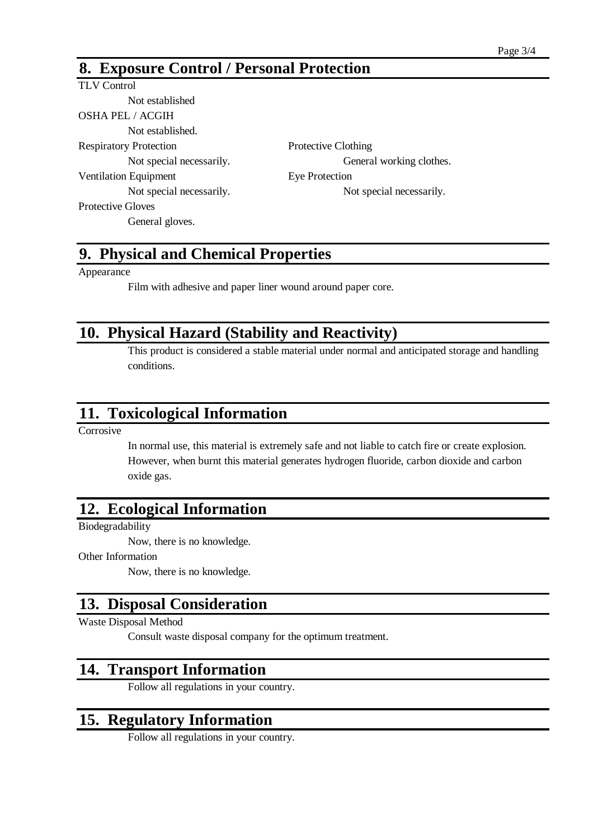# **8. Exposure Control / Personal Protection**

#### TLV Control Not established OSHA PEL / ACGIH Not established. Respiratory Protection Protective Clothing Not special necessarily. General working clothes. Ventilation Equipment Eye Protection Not special necessarily. Not special necessarily. Protective Gloves General gloves.

# **9. Physical and Chemical Properties**

Appearance

Film with adhesive and paper liner wound around paper core.

# **10. Physical Hazard (Stability and Reactivity)**

This product is considered a stable material under normal and anticipated storage and handling conditions.

# **11. Toxicological Information**

Corrosive

In normal use, this material is extremely safe and not liable to catch fire or create explosion. However, when burnt this material generates hydrogen fluoride, carbon dioxide and carbon oxide gas.

#### **12. Ecological Information**

Biodegradability

Now, there is no knowledge.

Other Information

Now, there is no knowledge.

# **13. Disposal Consideration**

Waste Disposal Method

Consult waste disposal company for the optimum treatment.

# **14. Transport Information**

Follow all regulations in your country.

# **15. Regulatory Information**

Follow all regulations in your country.